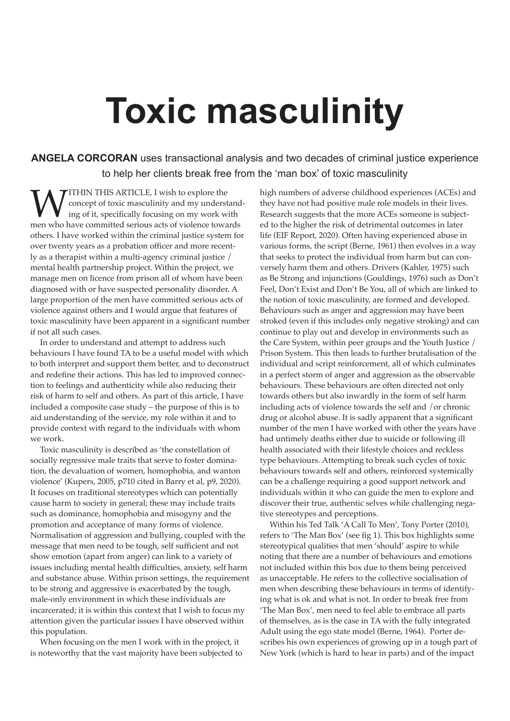# **Toxic masculinity**

**ANGELA CORCORAN** uses transactional analysis and two decades of criminal justice experience to help her clients break free from the 'man box' of toxic masculinity

**WEITHIN THIS ARTICLE, I wish to explore the** concept of toxic masculinity and my understand ing of it, specifically focusing on my work with men who have committed serious acts of violence towards concept of toxic masculinity and my understanding of it, specifically focusing on my work with others. I have worked within the criminal justice system for over twenty years as a probation officer and more recently as a therapist within a multi-agency criminal justice / mental health partnership project. Within the project, we manage men on licence from prison all of whom have been diagnosed with or have suspected personality disorder. A large proportion of the men have committed serious acts of violence against others and I would argue that features of toxic masculinity have been apparent in a significant number if not all such cases.

In order to understand and attempt to address such behaviours I have found TA to be a useful model with which to both interpret and support them better, and to deconstruct and redefine their actions. This has led to improved connection to feelings and authenticity while also reducing their risk of harm to self and others. As part of this article, I have included a composite case study – the purpose of this is to aid understanding of the service, my role within it and to provide context with regard to the individuals with whom we work.

Toxic masculinity is described as 'the constellation of socially regressive male traits that serve to foster domination, the devaluation of women, homophobia, and wanton violence' (Kupers, 2005, p710 cited in Barry et al, p9, 2020). It focuses on traditional stereotypes which can potentially cause harm to society in general; these may include traits such as dominance, homophobia and misogyny and the promotion and acceptance of many forms of violence. Normalisation of aggression and bullying, coupled with the message that men need to be tough, self sufficient and not show emotion (apart from anger) can link to a variety of issues including mental health difficulties, anxiety, self harm and substance abuse. Within prison settings, the requirement to be strong and aggressive is exacerbated by the tough, male-only environment in which these individuals are incarcerated; it is within this context that I wish to focus my attention given the particular issues I have observed within this population.

When focusing on the men I work with in the project, it is noteworthy that the vast majority have been subjected to high numbers of adverse childhood experiences (ACEs) and they have not had positive male role models in their lives. Research suggests that the more ACEs someone is subjected to the higher the risk of detrimental outcomes in later life (EIF Report, 2020). Often having experienced abuse in various forms, the script (Berne, 1961) then evolves in a way that seeks to protect the individual from harm but can conversely harm them and others. Drivers (Kahler, 1975) such as Be Strong and injunctions (Gouldings, 1976) such as Don't Feel, Don't Exist and Don't Be You, all of which are linked to the notion of toxic masculinity, are formed and developed. Behaviours such as anger and aggression may have been stroked (even if this includes only negative stroking) and can continue to play out and develop in environments such as the Care System, within peer groups and the Youth Justice / Prison System. This then leads to further brutalisation of the individual and script reinforcement, all of which culminates in a perfect storm of anger and aggression as the observable behaviours. These behaviours are often directed not only towards others but also inwardly in the form of self harm including acts of violence towards the self and /or chronic drug or alcohol abuse. It is sadly apparent that a significant number of the men I have worked with other the years have had untimely deaths either due to suicide or following ill health associated with their lifestyle choices and reckless type behaviours. Attempting to break such cycles of toxic behaviours towards self and others, reinforced systemically can be a challenge requiring a good support network and individuals within it who can guide the men to explore and discover their true, authentic selves while challenging negative stereotypes and perceptions.

Within his Ted Talk 'A Call To Men', Tony Porter (2010), refers to 'The Man Box' (see fig 1). This box highlights some stereotypical qualities that men 'should' aspire to while noting that there are a number of behaviours and emotions not included within this box due to them being perceived as unacceptable. He refers to the collective socialisation of men when describing these behaviours in terms of identifying what is ok and what is not. In order to break free from 'The Man Box', men need to feel able to embrace all parts of themselves, as is the case in TA with the fully integrated Adult using the ego state model (Berne, 1964). Porter describes his own experiences of growing up in a tough part of New York (which is hard to hear in parts) and of the impact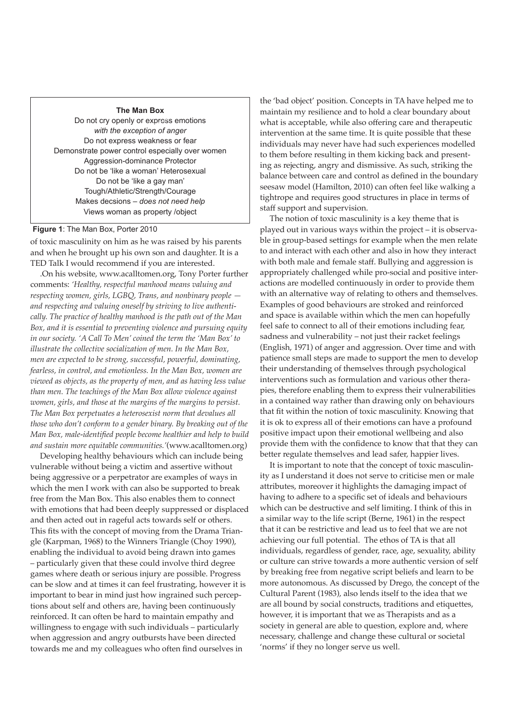#### **The Man Box**

Do not cry openly or express emotions *with the exception of anger* Do not express weakness or fear Demonstrate power control especially over women Aggression-dominance Protector Do not be 'like a woman' Heterosexual Do not be 'like a gay man' Tough/Athletic/Strength/Courage Makes decsions – *does not need help*  Views woman as property /object

# **Figure 1**: The Man Box, Porter 2010

of toxic masculinity on him as he was raised by his parents and when he brought up his own son and daughter. It is a TED Talk I would recommend if you are interested.

.On his website, www.acalltomen.org, Tony Porter further comments: *'Healthy, respectful manhood means valuing and respecting women, girls, LGBQ, Trans, and nonbinary people and respecting and valuing oneself by striving to live authentically. The practice of healthy manhood is the path out of the Man Box, and it is essential to preventing violence and pursuing equity in our society. 'A Call To Men' coined the term the 'Man Box' to illustrate the collective socialization of men. In the Man Box, men are expected to be strong, successful, powerful, dominating, fearless, in control, and emotionless. In the Man Box, women are viewed as objects, as the property of men, and as having less value than men. The teachings of the Man Box allow violence against women, girls, and those at the margins of the margins to persist. The Man Box perpetuates a heterosexist norm that devalues all those who don't conform to a gender binary. By breaking out of the Man Box, male-identified people become healthier and help to build and sustain more equitable communities.'*(www.acalltomen.org)

Developing healthy behaviours which can include being vulnerable without being a victim and assertive without being aggressive or a perpetrator are examples of ways in which the men I work with can also be supported to break free from the Man Box. This also enables them to connect with emotions that had been deeply suppressed or displaced and then acted out in rageful acts towards self or others. This fits with the concept of moving from the Drama Triangle (Karpman, 1968) to the Winners Triangle (Choy 1990), enabling the individual to avoid being drawn into games – particularly given that these could involve third degree games where death or serious injury are possible. Progress can be slow and at times it can feel frustrating, however it is important to bear in mind just how ingrained such perceptions about self and others are, having been continuously reinforced. It can often be hard to maintain empathy and willingness to engage with such individuals – particularly when aggression and angry outbursts have been directed towards me and my colleagues who often find ourselves in

the 'bad object' position. Concepts in TA have helped me to maintain my resilience and to hold a clear boundary about what is acceptable, while also offering care and therapeutic intervention at the same time. It is quite possible that these individuals may never have had such experiences modelled to them before resulting in them kicking back and presenting as rejecting, angry and dismissive. As such, striking the balance between care and control as defined in the boundary seesaw model (Hamilton, 2010) can often feel like walking a tightrope and requires good structures in place in terms of staff support and supervision.

The notion of toxic masculinity is a key theme that is played out in various ways within the project – it is observable in group-based settings for example when the men relate to and interact with each other and also in how they interact with both male and female staff. Bullying and aggression is appropriately challenged while pro-social and positive interactions are modelled continuously in order to provide them with an alternative way of relating to others and themselves. Examples of good behaviours are stroked and reinforced and space is available within which the men can hopefully feel safe to connect to all of their emotions including fear, sadness and vulnerability – not just their racket feelings (English, 1971) of anger and aggression. Over time and with patience small steps are made to support the men to develop their understanding of themselves through psychological interventions such as formulation and various other therapies, therefore enabling them to express their vulnerabilities in a contained way rather than drawing only on behaviours that fit within the notion of toxic masculinity. Knowing that it is ok to express all of their emotions can have a profound positive impact upon their emotional wellbeing and also provide them with the confidence to know that that they can better regulate themselves and lead safer, happier lives.

It is important to note that the concept of toxic masculinity as I understand it does not serve to criticise men or male attributes, moreover it highlights the damaging impact of having to adhere to a specific set of ideals and behaviours which can be destructive and self limiting. I think of this in a similar way to the life script (Berne, 1961) in the respect that it can be restrictive and lead us to feel that we are not achieving our full potential. The ethos of TA is that all individuals, regardless of gender, race, age, sexuality, ability or culture can strive towards a more authentic version of self by breaking free from negative script beliefs and learn to be more autonomous. As discussed by Drego, the concept of the Cultural Parent (1983), also lends itself to the idea that we are all bound by social constructs, traditions and etiquettes, however, it is important that we as Therapists and as a society in general are able to question, explore and, where necessary, challenge and change these cultural or societal 'norms' if they no longer serve us well.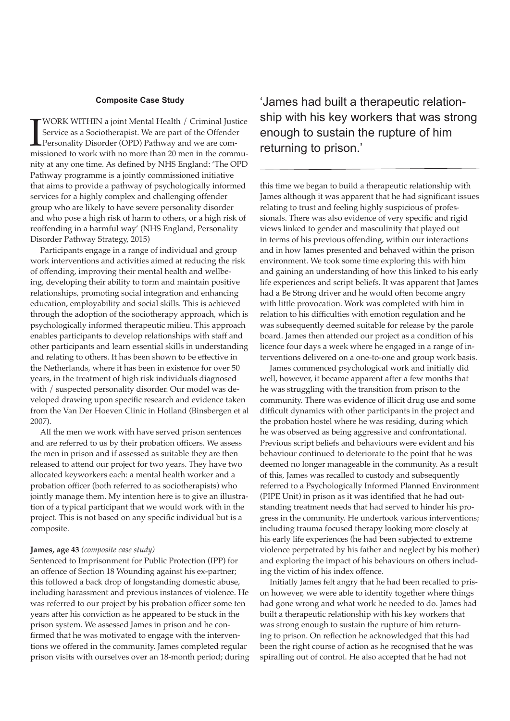# **Composite Case Study**

**I** WORK WITHIN a joint Mental Health / Criminal Justice Service as a Sociotherapist. We are part of the Offender Personality Disorder (OPD) Pathway and we are commissioned to work with no more than 20 men in the commu-Service as a Sociotherapist. We are part of the Offender Personality Disorder (OPD) Pathway and we are comnity at any one time. As defined by NHS England: 'The OPD Pathway programme is a jointly commissioned initiative that aims to provide a pathway of psychologically informed services for a highly complex and challenging offender group who are likely to have severe personality disorder and who pose a high risk of harm to others, or a high risk of reoffending in a harmful way' (NHS England, Personality Disorder Pathway Strategy, 2015)

Participants engage in a range of individual and group work interventions and activities aimed at reducing the risk of offending, improving their mental health and wellbeing, developing their ability to form and maintain positive relationships, promoting social integration and enhancing education, employability and social skills. This is achieved through the adoption of the sociotherapy approach, which is psychologically informed therapeutic milieu. This approach enables participants to develop relationships with staff and other participants and learn essential skills in understanding and relating to others. It has been shown to be effective in the Netherlands, where it has been in existence for over 50 years, in the treatment of high risk individuals diagnosed with / suspected personality disorder. Our model was developed drawing upon specific research and evidence taken from the Van Der Hoeven Clinic in Holland (Binsbergen et al 2007).

All the men we work with have served prison sentences and are referred to us by their probation officers. We assess the men in prison and if assessed as suitable they are then released to attend our project for two years. They have two allocated keyworkers each: a mental health worker and a probation officer (both referred to as sociotherapists) who jointly manage them. My intention here is to give an illustration of a typical participant that we would work with in the project. This is not based on any specific individual but is a composite.

#### **James, age 43** *(composite case study)*

Sentenced to Imprisonment for Public Protection (IPP) for an offence of Section 18 Wounding against his ex-partner; this followed a back drop of longstanding domestic abuse, including harassment and previous instances of violence. He was referred to our project by his probation officer some ten years after his conviction as he appeared to be stuck in the prison system. We assessed James in prison and he confirmed that he was motivated to engage with the interventions we offered in the community. James completed regular prison visits with ourselves over an 18-month period; during 'James had built a therapeutic relationship with his key workers that was strong enough to sustain the rupture of him returning to prison.'

this time we began to build a therapeutic relationship with James although it was apparent that he had significant issues relating to trust and feeling highly suspicious of professionals. There was also evidence of very specific and rigid views linked to gender and masculinity that played out in terms of his previous offending, within our interactions and in how James presented and behaved within the prison environment. We took some time exploring this with him and gaining an understanding of how this linked to his early life experiences and script beliefs. It was apparent that James had a Be Strong driver and he would often become angry with little provocation. Work was completed with him in relation to his difficulties with emotion regulation and he was subsequently deemed suitable for release by the parole board. James then attended our project as a condition of his licence four days a week where he engaged in a range of interventions delivered on a one-to-one and group work basis.

James commenced psychological work and initially did well, however, it became apparent after a few months that he was struggling with the transition from prison to the community. There was evidence of illicit drug use and some difficult dynamics with other participants in the project and the probation hostel where he was residing, during which he was observed as being aggressive and confrontational. Previous script beliefs and behaviours were evident and his behaviour continued to deteriorate to the point that he was deemed no longer manageable in the community. As a result of this, James was recalled to custody and subsequently referred to a Psychologically Informed Planned Environment (PIPE Unit) in prison as it was identified that he had outstanding treatment needs that had served to hinder his progress in the community. He undertook various interventions; including trauma focused therapy looking more closely at his early life experiences (he had been subjected to extreme violence perpetrated by his father and neglect by his mother) and exploring the impact of his behaviours on others including the victim of his index offence.

Initially James felt angry that he had been recalled to prison however, we were able to identify together where things had gone wrong and what work he needed to do. James had built a therapeutic relationship with his key workers that was strong enough to sustain the rupture of him returning to prison. On reflection he acknowledged that this had been the right course of action as he recognised that he was spiralling out of control. He also accepted that he had not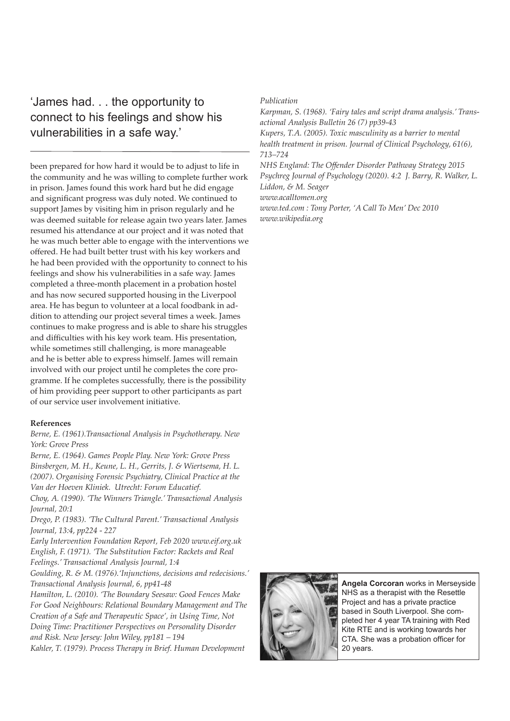# 'James had. . . the opportunity to connect to his feelings and show his vulnerabilities in a safe way.'

been prepared for how hard it would be to adjust to life in the community and he was willing to complete further work in prison. James found this work hard but he did engage and significant progress was duly noted. We continued to support James by visiting him in prison regularly and he was deemed suitable for release again two years later. James resumed his attendance at our project and it was noted that he was much better able to engage with the interventions we offered. He had built better trust with his key workers and he had been provided with the opportunity to connect to his feelings and show his vulnerabilities in a safe way. James completed a three-month placement in a probation hostel and has now secured supported housing in the Liverpool area. He has begun to volunteer at a local foodbank in addition to attending our project several times a week. James continues to make progress and is able to share his struggles and difficulties with his key work team. His presentation, while sometimes still challenging, is more manageable and he is better able to express himself. James will remain involved with our project until he completes the core programme. If he completes successfully, there is the possibility of him providing peer support to other participants as part of our service user involvement initiative.

#### **References**

## *Berne, E. (1961).Transactional Analysis in Psychotherapy. New York: Grove Press*

*Berne, E. (1964). Games People Play. New York: Grove Press Binsbergen, M. H., Keune, L. H., Gerrits, J. & Wiertsema, H. L. (2007). Organising Forensic Psychiatry, Clinical Practice at the Van der Hoeven Kliniek. Utrecht: Forum Educatief.* 

*Choy, A. (1990). 'The Winners Triangle.' Transactional Analysis Journal, 20:1* 

*Drego, P. (1983). 'The Cultural Parent.' Transactional Analysis Journal, 13:4, pp224 - 227*

*Early Intervention Foundation Report, Feb 2020 www.eif.org.uk English, F. (1971). 'The Substitution Factor: Rackets and Real Feelings.' Transactional Analysis Journal, 1:4*

*Goulding, R. & M. (1976).'Injunctions, decisions and redecisions.' Transactional Analysis Journal, 6, pp41-48*

*Hamilton, L. (2010). 'The Boundary Seesaw: Good Fences Make For Good Neighbours: Relational Boundary Management and The Creation of a Safe and Therapeutic Space', in Using Time, Not Doing Time: Practitioner Perspectives on Personality Disorder and Risk. New Jersey: John Wiley, pp181 – 194 Kahler, T. (1979). Process Therapy in Brief. Human Development* 

### *Publication*

*Karpman, S. (1968). 'Fairy tales and script drama analysis.' Transactional Analysis Bulletin 26 (7) pp39-43*

*Kupers, T.A. (2005). Toxic masculinity as a barrier to mental health treatment in prison. Journal of Clinical Psychology, 61(6), 713–724*

*NHS England: The Offender Disorder Pathway Strategy 2015 Psychreg Journal of Psychology (2020). 4:2 J. Barry, R. Walker, L. Liddon, & M. Seager www.acalltomen.org www.ted.com : Tony Porter, 'A Call To Men' Dec 2010*

*www.wikipedia.org*



**Angela Corcoran** works in Merseyside NHS as a therapist with the Resettle Project and has a private practice based in South Liverpool. She completed her 4 year TA training with Red Kite RTE and is working towards her CTA. She was a probation officer for 20 years.